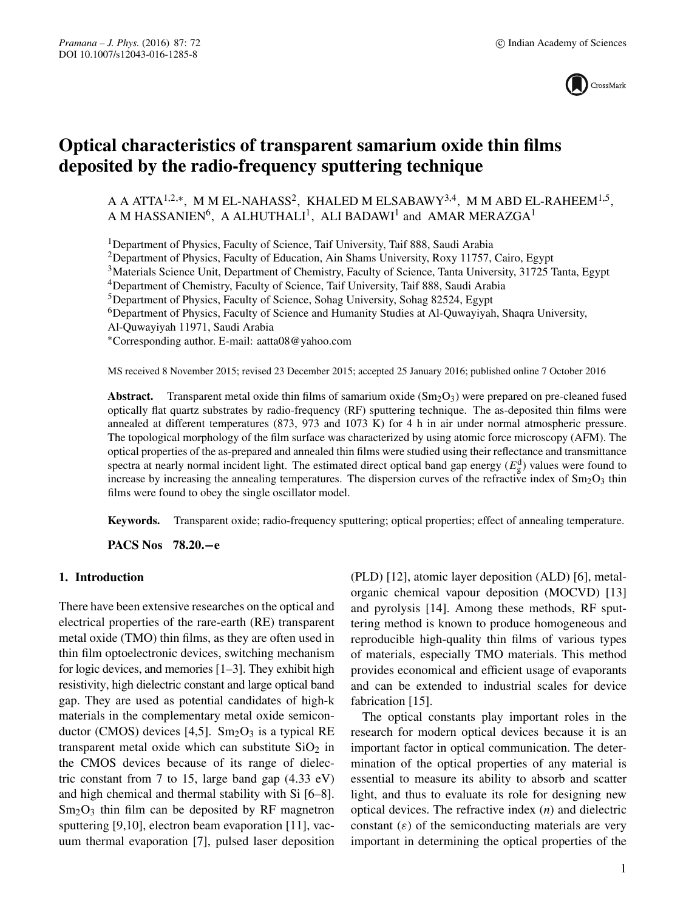

# **Optical characteristics of transparent samarium oxide thin films deposited by the radio-frequency sputtering technique**

A A ATTA<sup>1,2,∗</sup>, M M EL-NAHASS<sup>2</sup>, KHALED M ELSABAWY<sup>3,4</sup>, M M ABD EL-RAHEEM<sup>1,5</sup>, A M HASSANIEN<sup>6</sup>, A ALHUTHALI<sup>1</sup>, ALI BADAWI<sup>1</sup> and AMAR MERAZGA<sup>1</sup>

<sup>1</sup>Department of Physics, Faculty of Science, Taif University, Taif 888, Saudi Arabia

2Department of Physics, Faculty of Education, Ain Shams University, Roxy 11757, Cairo, Egypt

<sup>3</sup>Materials Science Unit, Department of Chemistry, Faculty of Science, Tanta University, 31725 Tanta, Egypt

4Department of Chemistry, Faculty of Science, Taif University, Taif 888, Saudi Arabia

5Department of Physics, Faculty of Science, Sohag University, Sohag 82524, Egypt

<sup>6</sup>Department of Physics, Faculty of Science and Humanity Studies at Al-Quwayiyah, Shaqra University,

Al-Quwayiyah 11971, Saudi Arabia

∗Corresponding author. E-mail: aatta08@yahoo.com

MS received 8 November 2015; revised 23 December 2015; accepted 25 January 2016; published online 7 October 2016

**Abstract.** Transparent metal oxide thin films of samarium oxide  $(Sm<sub>2</sub>O<sub>3</sub>)$  were prepared on pre-cleaned fused optically flat quartz substrates by radio-frequency (RF) sputtering technique. The as-deposited thin films were annealed at different temperatures (873, 973 and 1073 K) for 4 h in air under normal atmospheric pressure. The topological morphology of the film surface was characterized by using atomic force microscopy (AFM). The optical properties of the as-prepared and annealed thin films were studied using their reflectance and transmittance spectra at nearly normal incident light. The estimated direct optical band gap energy  $(E_{g}^{d})$  values were found to increase by increasing the annealing temperatures. The dispersion curves of the refractive index of  $\text{Sm}_2\text{O}_3$  thin films were found to obey the single oscillator model.

**Keywords.** Transparent oxide; radio-frequency sputtering; optical properties; effect of annealing temperature.

**PACS Nos 78.20.−e**

# **1. Introduction**

There have been extensive researches on the optical and electrical properties of the rare-earth (RE) transparent metal oxide (TMO) thin films, as they are often used in thin film optoelectronic devices, switching mechanism for logic devices, and memories [1–3]. They exhibit high resistivity, high dielectric constant and large optical band gap. They are used as potential candidates of high-k materials in the complementary metal oxide semiconductor (CMOS) devices [4,5].  $Sm<sub>2</sub>O<sub>3</sub>$  is a typical RE transparent metal oxide which can substitute  $SiO<sub>2</sub>$  in the CMOS devices because of its range of dielectric constant from 7 to 15, large band gap  $(4.33 \text{ eV})$ and high chemical and thermal stability with Si [6–8].  $Sm<sub>2</sub>O<sub>3</sub>$  thin film can be deposited by RF magnetron sputtering [9,10], electron beam evaporation [11], vacuum thermal evaporation [7], pulsed laser deposition (PLD) [12], atomic layer deposition (ALD) [6], metalorganic chemical vapour deposition (MOCVD) [13] and pyrolysis [14]. Among these methods, RF sputtering method is known to produce homogeneous and reproducible high-quality thin films of various types of materials, especially TMO materials. This method provides economical and efficient usage of evaporants and can be extended to industrial scales for device fabrication [15].

The optical constants play important roles in the research for modern optical devices because it is an important factor in optical communication. The determination of the optical properties of any material is essential to measure its ability to absorb and scatter light, and thus to evaluate its role for designing new optical devices. The refractive index (*n*) and dielectric constant  $(\varepsilon)$  of the semiconducting materials are very important in determining the optical properties of the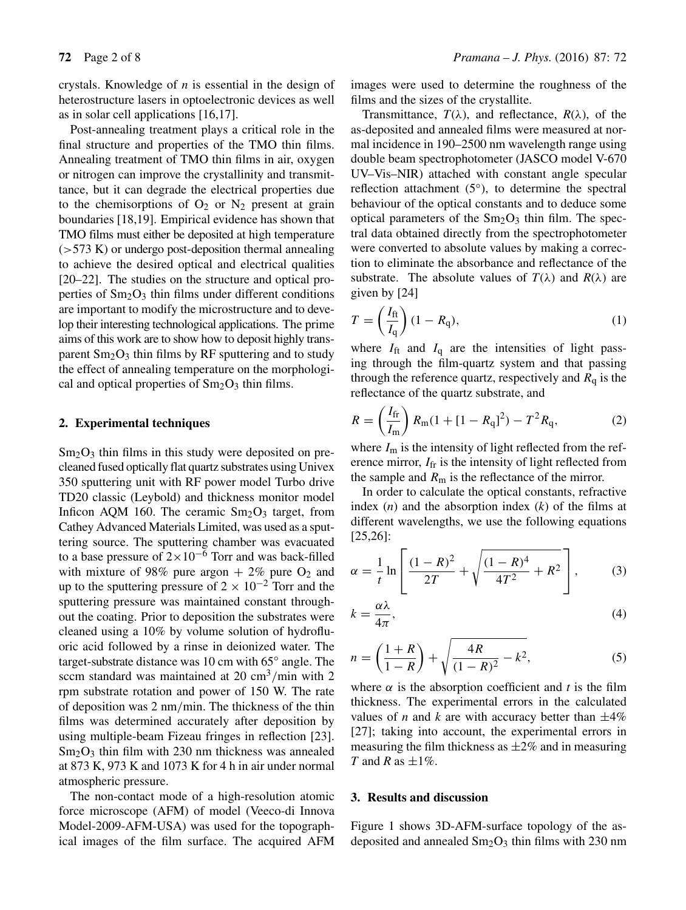crystals. Knowledge of *n* is essential in the design of heterostructure lasers in optoelectronic devices as well as in solar cell applications [16,17].

Post-annealing treatment plays a critical role in the final structure and properties of the TMO thin films. Annealing treatment of TMO thin films in air, oxygen or nitrogen can improve the crystallinity and transmittance, but it can degrade the electrical properties due to the chemisorptions of  $O_2$  or  $N_2$  present at grain boundaries [18,19]. Empirical evidence has shown that TMO films must either be deposited at high temperature  $($ >573 K) or undergo post-deposition thermal annealing to achieve the desired optical and electrical qualities [20–22]. The studies on the structure and optical properties of  $Sm<sub>2</sub>O<sub>3</sub>$  thin films under different conditions are important to modify the microstructure and to develop their interesting technological applications. The prime aims of this work are to show how to deposit highly transparent  $Sm<sub>2</sub>O<sub>3</sub>$  thin films by RF sputtering and to study the effect of annealing temperature on the morphological and optical properties of  $Sm<sub>2</sub>O<sub>3</sub>$  thin films.

#### **2. Experimental techniques**

 $Sm<sub>2</sub>O<sub>3</sub>$  thin films in this study were deposited on precleaned fused optically flat quartz substrates using Univex 350 sputtering unit with RF power model Turbo drive TD20 classic (Leybold) and thickness monitor model Inficon AQM 160. The ceramic  $Sm<sub>2</sub>O<sub>3</sub>$  target, from Cathey Advanced Materials Limited, was used as a sputtering source. The sputtering chamber was evacuated to a base pressure of  $2\times10^{-6}$  Torr and was back-filled with mixture of 98% pure argon  $+ 2\%$  pure O<sub>2</sub> and up to the sputtering pressure of  $2 \times 10^{-2}$  Torr and the sputtering pressure was maintained constant throughout the coating. Prior to deposition the substrates were cleaned using a 10% by volume solution of hydrofluoric acid followed by a rinse in deionized water. The target-substrate distance was 10 cm with 65◦ angle. The sccm standard was maintained at  $20 \text{ cm}^3/\text{min}$  with 2 rpm substrate rotation and power of 150 W. The rate of deposition was 2 nm/min. The thickness of the thin films was determined accurately after deposition by using multiple-beam Fizeau fringes in reflection [23].  $Sm<sub>2</sub>O<sub>3</sub>$  thin film with 230 nm thickness was annealed at 873 K, 973 K and 1073 K for 4 h in air under normal atmospheric pressure.

The non-contact mode of a high-resolution atomic force microscope (AFM) of model (Veeco-di Innova Model-2009-AFM-USA) was used for the topographical images of the film surface. The acquired AFM images were used to determine the roughness of the films and the sizes of the crystallite.

Transmittance,  $T(\lambda)$ , and reflectance,  $R(\lambda)$ , of the as-deposited and annealed films were measured at normal incidence in 190–2500 nm wavelength range using double beam spectrophotometer (JASCO model V-670 UV–Vis–NIR) attached with constant angle specular reflection attachment (5◦), to determine the spectral behaviour of the optical constants and to deduce some optical parameters of the  $Sm<sub>2</sub>O<sub>3</sub>$  thin film. The spectral data obtained directly from the spectrophotometer were converted to absolute values by making a correction to eliminate the absorbance and reflectance of the substrate. The absolute values of  $T(\lambda)$  and  $R(\lambda)$  are given by [24]

$$
T = \left(\frac{I_{\rm ft}}{I_{\rm q}}\right)(1 - R_{\rm q}),\tag{1}
$$

where  $I_{\text{ft}}$  and  $I_{\text{q}}$  are the intensities of light passing through the film-quartz system and that passing through the reference quartz, respectively and  $R<sub>q</sub>$  is the reflectance of the quartz substrate, and

$$
R = \left(\frac{I_{\rm fr}}{I_{\rm m}}\right) R_{\rm m} (1 + [1 - R_{\rm q}]^2) - T^2 R_{\rm q},\tag{2}
$$

where  $I_m$  is the intensity of light reflected from the reference mirror,  $I_{\text{fr}}$  is the intensity of light reflected from the sample and  $R<sub>m</sub>$  is the reflectance of the mirror.

In order to calculate the optical constants, refractive index (*n*) and the absorption index (*k*) of the films at different wavelengths, we use the following equations [25,26]:

$$
\alpha = \frac{1}{t} \ln \left[ \frac{(1 - R)^2}{2T} + \sqrt{\frac{(1 - R)^4}{4T^2} + R^2} \right],\tag{3}
$$

$$
k = \frac{\alpha \lambda}{4\pi},\tag{4}
$$

$$
n = \left(\frac{1+R}{1-R}\right) + \sqrt{\frac{4R}{(1-R)^2} - k^2},\tag{5}
$$

where  $\alpha$  is the absorption coefficient and *t* is the film thickness. The experimental errors in the calculated values of *n* and *k* are with accuracy better than  $\pm 4\%$ [27]; taking into account, the experimental errors in measuring the film thickness as  $\pm 2\%$  and in measuring *T* and *R* as  $\pm 1\%$ .

#### **3. Results and discussion**

Figure 1 shows 3D-AFM-surface topology of the asdeposited and annealed  $Sm<sub>2</sub>O<sub>3</sub>$  thin films with 230 nm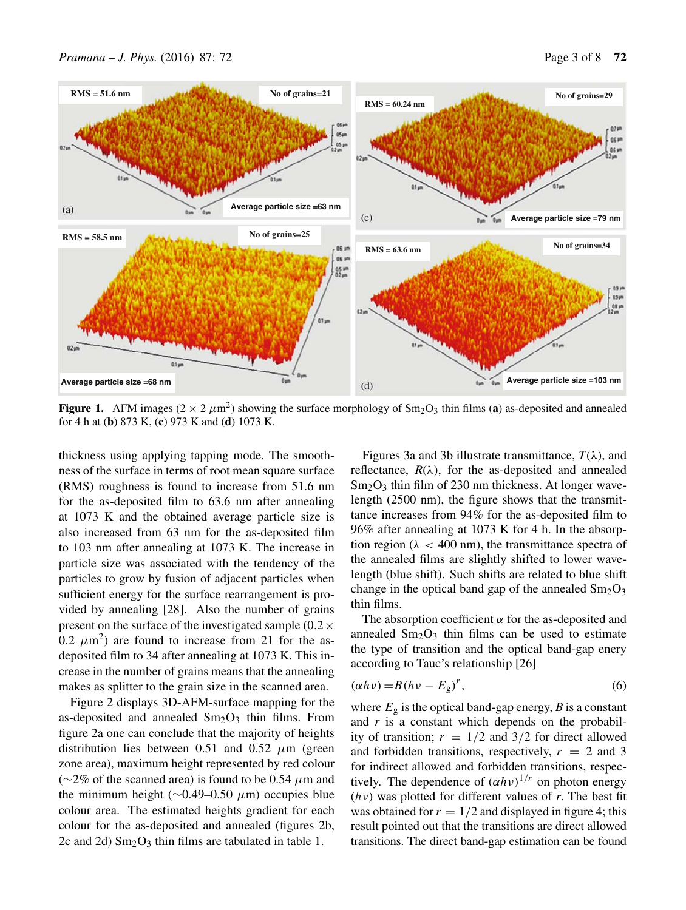

**Figure 1.** AFM images ( $2 \times 2 \mu m^2$ ) showing the surface morphology of Sm<sub>2</sub>O<sub>3</sub> thin films (**a**) as-deposited and annealed for 4 h at (**b**) 873 K, (**c**) 973 K and (**d**) 1073 K.

thickness using applying tapping mode. The smoothness of the surface in terms of root mean square surface (RMS) roughness is found to increase from 51.6 nm for the as-deposited film to 63.6 nm after annealing at 1073 K and the obtained average particle size is also increased from 63 nm for the as-deposited film to 103 nm after annealing at 1073 K. The increase in particle size was associated with the tendency of the particles to grow by fusion of adjacent particles when sufficient energy for the surface rearrangement is provided by annealing [28]. Also the number of grains present on the surface of the investigated sample  $(0.2 \times$ 0.2  $\mu$ m<sup>2</sup>) are found to increase from 21 for the asdeposited film to 34 after annealing at 1073 K. This increase in the number of grains means that the annealing makes as splitter to the grain size in the scanned area.

Figure 2 displays 3D-AFM-surface mapping for the as-deposited and annealed  $Sm<sub>2</sub>O<sub>3</sub>$  thin films. From figure 2a one can conclude that the majority of heights distribution lies between 0.51 and 0.52  $\mu$ m (green zone area), maximum height represented by red colour ( $\sim$ 2% of the scanned area) is found to be 0.54  $\mu$ m and the minimum height ( $\sim$ 0.49–0.50  $\mu$ m) occupies blue colour area. The estimated heights gradient for each colour for the as-deposited and annealed (figures 2b, 2c and 2d)  $Sm<sub>2</sub>O<sub>3</sub>$  thin films are tabulated in table 1.

Figures 3a and 3b illustrate transmittance,  $T(\lambda)$ , and reflectance,  $R(\lambda)$ , for the as-deposited and annealed  $Sm<sub>2</sub>O<sub>3</sub>$  thin film of 230 nm thickness. At longer wavelength (2500 nm), the figure shows that the transmittance increases from 94% for the as-deposited film to 96% after annealing at 1073 K for 4 h. In the absorption region ( $\lambda$  < 400 nm), the transmittance spectra of the annealed films are slightly shifted to lower wavelength (blue shift). Such shifts are related to blue shift change in the optical band gap of the annealed  $Sm_2O_3$ thin films.

The absorption coefficient  $\alpha$  for the as-deposited and annealed  $Sm<sub>2</sub>O<sub>3</sub>$  thin films can be used to estimate the type of transition and the optical band-gap enery according to Tauc's relationship [26]

$$
(\alpha h\nu) = B(h\nu - E_g)^r,\tag{6}
$$

where  $E_{\rm g}$  is the optical band-gap energy, *B* is a constant and *r* is a constant which depends on the probability of transition;  $r = 1/2$  and 3/2 for direct allowed and forbidden transitions, respectively,  $r = 2$  and 3 for indirect allowed and forbidden transitions, respectively. The dependence of  $(\alpha h \nu)^{1/r}$  on photon energy (hν) was plotted for different values of *r*. The best fit was obtained for  $r = 1/2$  and displayed in figure 4; this result pointed out that the transitions are direct allowed transitions. The direct band-gap estimation can be found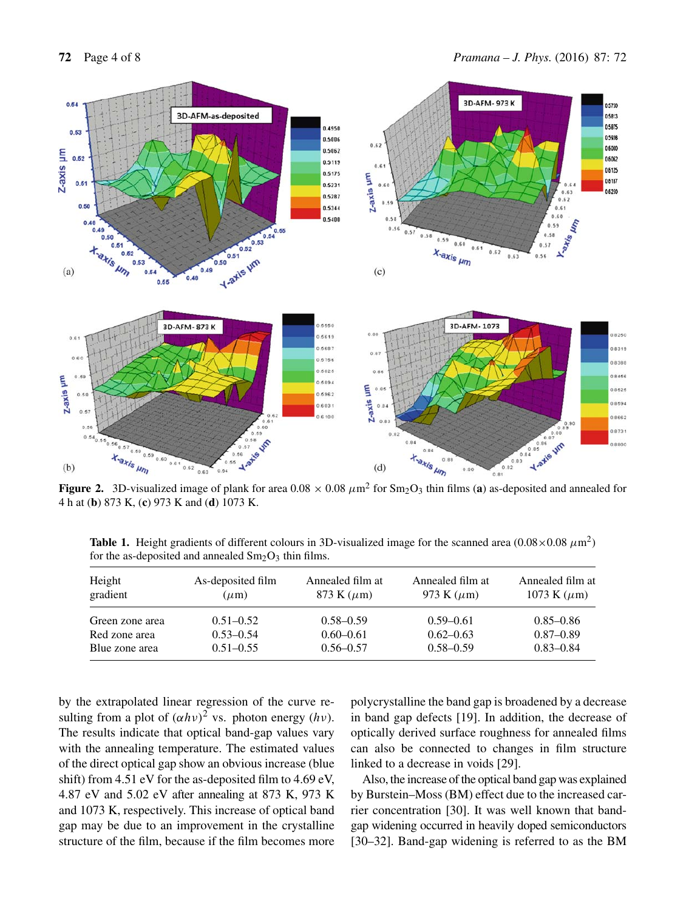

4 h at (**b**) 873 K, (**c**) 973 K and (**d**) 1073 K.

**Table 1.** Height gradients of different colours in 3D-visualized image for the scanned area  $(0.08 \times 0.08 \mu m^2)$ for the as-deposited and annealed  $Sm<sub>2</sub>O<sub>3</sub>$  thin films.

| Height<br>gradient | As-deposited film<br>$(\mu m)$ | Annealed film at<br>873 K $(\mu m)$ | Annealed film at<br>973 K $(\mu m)$ | Annealed film at<br>1073 K $(\mu m)$ |  |
|--------------------|--------------------------------|-------------------------------------|-------------------------------------|--------------------------------------|--|
| Green zone area    | $0.51 - 0.52$                  | $0.58 - 0.59$                       | $0.59 - 0.61$                       | $0.85 - 0.86$                        |  |
| Red zone area      | $0.53 - 0.54$                  | $0.60 - 0.61$                       | $0.62 - 0.63$                       | $0.87 - 0.89$                        |  |
| Blue zone area     | $0.51 - 0.55$                  | $0.56 - 0.57$                       | $0.58 - 0.59$                       | $0.83 - 0.84$                        |  |

by the extrapolated linear regression of the curve resulting from a plot of  $(\alpha h\nu)^2$  vs. photon energy  $(h\nu)$ . The results indicate that optical band-gap values vary with the annealing temperature. The estimated values of the direct optical gap show an obvious increase (blue shift) from 4.51 eV for the as-deposited film to 4.69 eV, 4.87 eV and 5.02 eV after annealing at 873 K, 973 K and 1073 K, respectively. This increase of optical band gap may be due to an improvement in the crystalline structure of the film, because if the film becomes more polycrystalline the band gap is broadened by a decrease in band gap defects [19]. In addition, the decrease of optically derived surface roughness for annealed films can also be connected to changes in film structure linked to a decrease in voids [29].

Also, the increase of the optical band gap was explained by Burstein–Moss (BM) effect due to the increased carrier concentration [30]. It was well known that bandgap widening occurred in heavily doped semiconductors [30–32]. Band-gap widening is referred to as the BM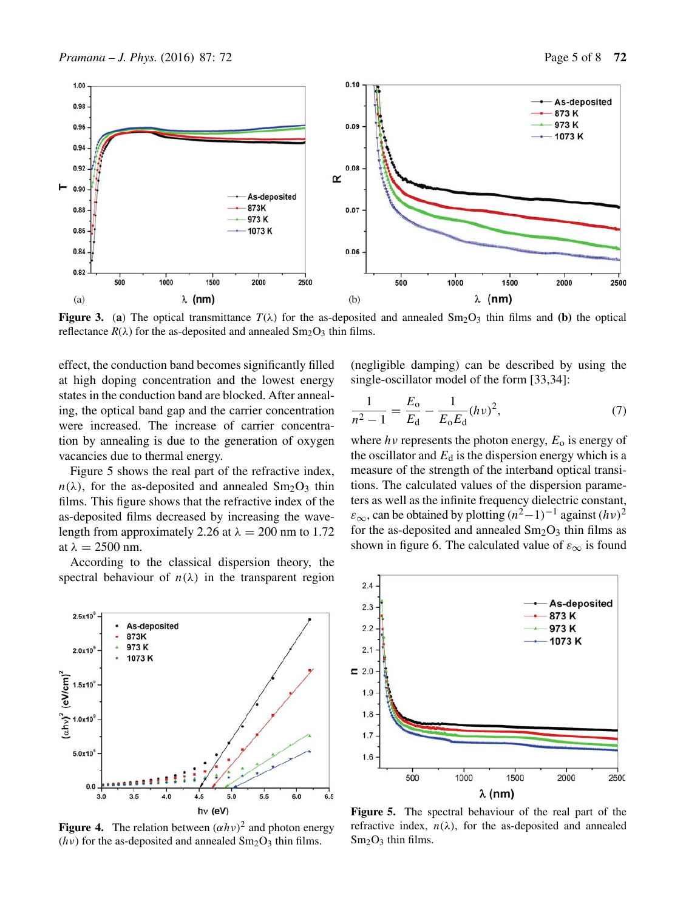

**Figure 3.** (a) The optical transmittance  $T(\lambda)$  for the as-deposited and annealed  $Sm_2O_3$  thin films and (b) the optical reflectance  $R(\lambda)$  for the as-deposited and annealed  $Sm_2O_3$  thin films.

effect, the conduction band becomes significantly filled at high doping concentration and the lowest energy states in the conduction band are blocked. After annealing, the optical band gap and the carrier concentration were increased. The increase of carrier concentration by annealing is due to the generation of oxygen vacancies due to thermal energy.

Figure 5 shows the real part of the refractive index,  $n(\lambda)$ , for the as-deposited and annealed Sm<sub>2</sub>O<sub>3</sub> thin films. This figure shows that the refractive index of the as-deposited films decreased by increasing the wavelength from approximately 2.26 at  $\lambda = 200$  nm to 1.72 at  $\lambda = 2500$  nm.

According to the classical dispersion theory, the spectral behaviour of  $n(\lambda)$  in the transparent region



**Figure 4.** The relation between  $(\alpha h \nu)^2$  and photon energy ( $hv$ ) for the as-deposited and annealed  $Sm_2O_3$  thin films.

(negligible damping) can be described by using the single-oscillator model of the form [33,34]:

$$
\frac{1}{n^2 - 1} = \frac{E_o}{E_d} - \frac{1}{E_o E_d} (h\nu)^2,\tag{7}
$$

where  $hv$  represents the photon energy,  $E_0$  is energy of the oscillator and  $E_d$  is the dispersion energy which is a measure of the strength of the interband optical transitions. The calculated values of the dispersion parameters as well as the infinite frequency dielectric constant,  $\varepsilon_{\infty}$ , can be obtained by plotting  $(n^2-1)^{-1}$  against  $(h\nu)^2$ for the as-deposited and annealed  $Sm_2O_3$  thin films as shown in figure 6. The calculated value of  $\varepsilon_{\infty}$  is found



**Figure 5.** The spectral behaviour of the real part of the refractive index,  $n(\lambda)$ , for the as-deposited and annealed  $Sm<sub>2</sub>O<sub>3</sub>$  thin films.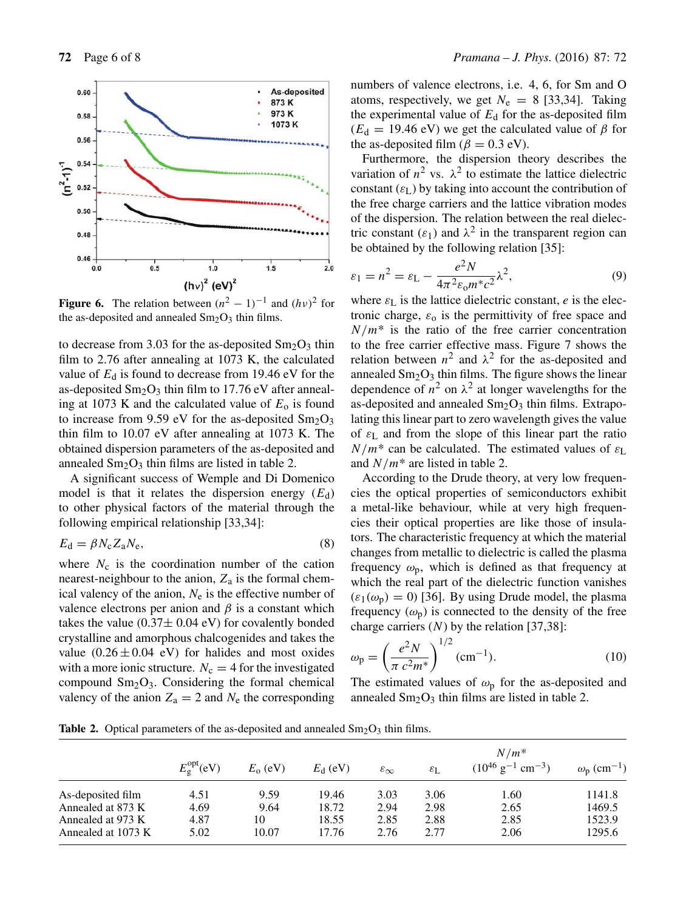

**Figure 6.** The relation between  $(n^2 - 1)^{-1}$  and  $(hv)^2$  for the as-deposited and annealed  $Sm_2O_3$  thin films.

to decrease from 3.03 for the as-deposited  $Sm_2O_3$  thin film to 2.76 after annealing at 1073 K, the calculated value of  $E_d$  is found to decrease from 19.46 eV for the as-deposited  $Sm_2O_3$  thin film to 17.76 eV after annealing at 1073 K and the calculated value of  $E_0$  is found to increase from 9.59 eV for the as-deposited  $Sm_2O_3$ thin film to 10.07 eV after annealing at 1073 K. The obtained dispersion parameters of the as-deposited and annealed  $Sm<sub>2</sub>O<sub>3</sub>$  thin films are listed in table 2.

A significant success of Wemple and Di Domenico model is that it relates the dispersion energy  $(E_d)$ to other physical factors of the material through the following empirical relationship [33,34]:

$$
E_{\rm d} = \beta N_{\rm c} Z_{\rm a} N_{\rm e},\tag{8}
$$

where  $N_c$  is the coordination number of the cation nearest-neighbour to the anion,  $Z_a$  is the formal chemical valency of the anion,  $N_e$  is the effective number of valence electrons per anion and  $\beta$  is a constant which takes the value  $(0.37\pm 0.04 \text{ eV})$  for covalently bonded crystalline and amorphous chalcogenides and takes the value  $(0.26 \pm 0.04 \text{ eV})$  for halides and most oxides with a more ionic structure.  $N_c = 4$  for the investigated compound  $Sm<sub>2</sub>O<sub>3</sub>$ . Considering the formal chemical valency of the anion  $Z_a = 2$  and  $N_e$  the corresponding

numbers of valence electrons, i.e. 4, 6, for Sm and O atoms, respectively, we get  $N_e = 8$  [33,34]. Taking the experimental value of  $E_d$  for the as-deposited film  $(E_d = 19.46 \text{ eV})$  we get the calculated value of  $\beta$  for the as-deposited film ( $\beta = 0.3$  eV).

Furthermore, the dispersion theory describes the variation of  $n^2$  vs.  $\lambda^2$  to estimate the lattice dielectric constant  $(\varepsilon_L)$  by taking into account the contribution of the free charge carriers and the lattice vibration modes of the dispersion. The relation between the real dielectric constant  $(\varepsilon_1)$  and  $\lambda^2$  in the transparent region can be obtained by the following relation [35]:

$$
\varepsilon_1 = n^2 = \varepsilon_L - \frac{e^2 N}{4\pi^2 \varepsilon_0 m^* c^2} \lambda^2,\tag{9}
$$

where  $\varepsilon_{\rm L}$  is the lattice dielectric constant, e is the electronic charge,  $\varepsilon_0$  is the permittivity of free space and  $N/m^*$  is the ratio of the free carrier concentration to the free carrier effective mass. Figure 7 shows the relation between  $n^2$  and  $\lambda^2$  for the as-deposited and annealed  $Sm<sub>2</sub>O<sub>3</sub>$  thin films. The figure shows the linear dependence of  $n^2$  on  $\lambda^2$  at longer wavelengths for the as-deposited and annealed  $Sm<sub>2</sub>O<sub>3</sub>$  thin films. Extrapolating this linear part to zero wavelength gives the value of  $\varepsilon_L$  and from the slope of this linear part the ratio  $N/m^*$  can be calculated. The estimated values of  $\varepsilon_L$ and  $N/m^*$  are listed in table 2.

According to the Drude theory, at very low frequencies the optical properties of semiconductors exhibit a metal-like behaviour, while at very high frequencies their optical properties are like those of insulators. The characteristic frequency at which the material changes from metallic to dielectric is called the plasma frequency  $\omega_p$ , which is defined as that frequency at which the real part of the dielectric function vanishes  $(\varepsilon_1(\omega_p) = 0)$  [36]. By using Drude model, the plasma frequency  $(\omega_{p})$  is connected to the density of the free charge carriers  $(N)$  by the relation [37,38]:

$$
\omega_{\rm p} = \left(\frac{e^2 N}{\pi \ c^2 m^*}\right)^{1/2} \text{(cm}^{-1}).\tag{10}
$$

The estimated values of  $\omega_p$  for the as-deposited and annealed  $Sm<sub>2</sub>O<sub>3</sub>$  thin films are listed in table 2.

**Table 2.** Optical parameters of the as-deposited and annealed  $\text{Sm}_2\text{O}_3$  thin films.

|                    |                            |            |                  |                        |                       | $N/m^*$                                    |                                      |
|--------------------|----------------------------|------------|------------------|------------------------|-----------------------|--------------------------------------------|--------------------------------------|
|                    | $E_{\rm g}^{\rm opt}$ (eV) | $E_0$ (eV) | $E_{\rm d}$ (eV) | $\varepsilon_{\infty}$ | $\varepsilon_{\rm L}$ | $(10^{46} \text{ g}^{-1} \text{ cm}^{-3})$ | $\omega_{\rm p}$ (cm <sup>-1</sup> ) |
| As-deposited film  | 4.51                       | 9.59       | 19.46            | 3.03                   | 3.06                  | 1.60                                       | 1141.8                               |
| Annealed at 873 K  | 4.69                       | 9.64       | 18.72            | 2.94                   | 2.98                  | 2.65                                       | 1469.5                               |
| Annealed at 973 K  | 4.87                       | 10         | 18.55            | 2.85                   | 2.88                  | 2.85                                       | 1523.9                               |
| Annealed at 1073 K | 5.02                       | 10.07      | 17.76            | 2.76                   | 2.77                  | 2.06                                       | 1295.6                               |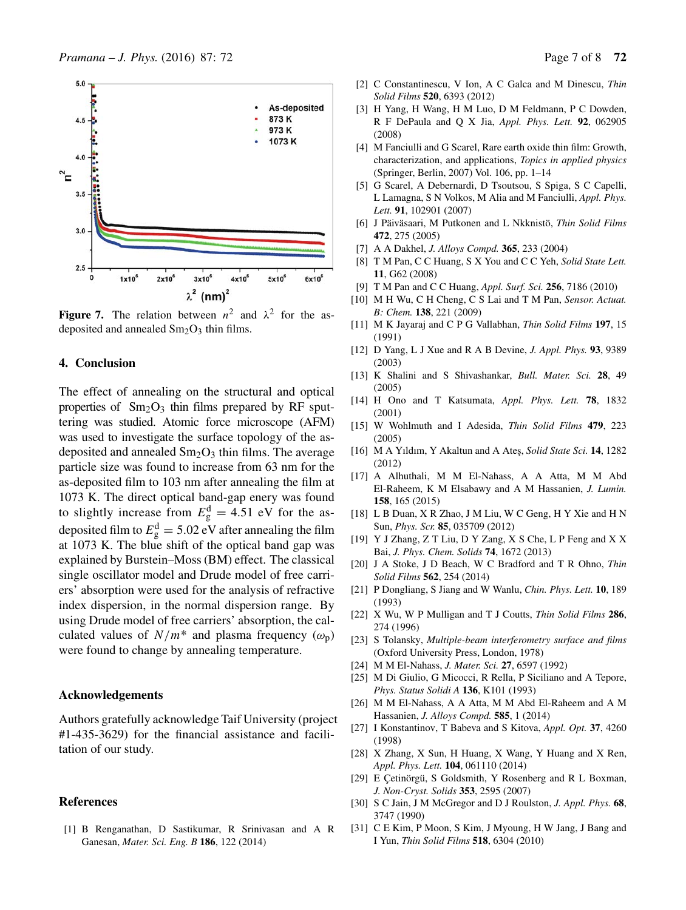

**Figure 7.** The relation between  $n^2$  and  $\lambda^2$  for the asdeposited and annealed  $Sm<sub>2</sub>O<sub>3</sub>$  thin films.

## **4. Conclusion**

The effect of annealing on the structural and optical properties of  $Sm<sub>2</sub>O<sub>3</sub>$  thin films prepared by RF sputtering was studied. Atomic force microscope (AFM) was used to investigate the surface topology of the asdeposited and annealed  $Sm<sub>2</sub>O<sub>3</sub>$  thin films. The average particle size was found to increase from 63 nm for the as-deposited film to 103 nm after annealing the film at 1073 K. The direct optical band-gap enery was found to slightly increase from  $E_{\rm g}^{\rm d} = 4.51$  eV for the asdeposited film to  $E_g^d = 5.02$  eV after annealing the film at 1073 K. The blue shift of the optical band gap was explained by Burstein–Moss (BM) effect. The classical single oscillator model and Drude model of free carriers' absorption were used for the analysis of refractive index dispersion, in the normal dispersion range. By using Drude model of free carriers' absorption, the calculated values of  $N/m^*$  and plasma frequency  $(\omega_p)$ were found to change by annealing temperature.

#### **Acknowledgements**

Authors gratefully acknowledge Taif University (project #1-435-3629) for the financial assistance and facilitation of our study.

## **References**

[1] B Renganathan, D Sastikumar, R Srinivasan and A R Ganesan, *Mater. Sci. Eng. B* **186**, 122 (2014)

- [2] C Constantinescu, V Ion, A C Galca and M Dinescu, *Thin Solid Films* **520**, 6393 (2012)
- [3] H Yang, H Wang, H M Luo, D M Feldmann, P C Dowden, R F DePaula and Q X Jia, *Appl. Phys. Lett.* **92**, 062905 (2008)
- [4] M Fanciulli and G Scarel, Rare earth oxide thin film: Growth, characterization, and applications, *Topics in applied physics* (Springer, Berlin, 2007) Vol. 106, pp. 1–14
- [5] G Scarel, A Debernardi, D Tsoutsou, S Spiga, S C Capelli, L Lamagna, S N Volkos, M Alia and M Fanciulli, *Appl. Phys. Lett.* **91**, 102901 (2007)
- [6] J Päiväsaari, M Putkonen and L Nkknistö, *Thin Solid Films* **472**, 275 (2005)
- [7] A A Dakhel, *J. Alloys Compd.* **365**, 233 (2004)
- [8] T M Pan, C C Huang, S X You and C C Yeh, *Solid State Lett.* **11**, G62 (2008)
- [9] T M Pan and C C Huang, *Appl. Surf. Sci.* **256**, 7186 (2010)
- [10] M H Wu, C H Cheng, C S Lai and T M Pan, *Sensor. Actuat. B: Chem.* **138**, 221 (2009)
- [11] M K Jayaraj and C P G Vallabhan, *Thin Solid Films* **197**, 15 (1991)
- [12] D Yang, L J Xue and R A B Devine, *J. Appl. Phys.* **93**, 9389 (2003)
- [13] K Shalini and S Shivashankar, *Bull. Mater. Sci.* **28**, 49 (2005)
- [14] H Ono and T Katsumata, *Appl. Phys. Lett.* **78**, 1832 (2001)
- [15] W Wohlmuth and I Adesida, *Thin Solid Films* **479**, 223 (2005)
- [16] M A Yıldım, Y Akaltun and A Ateş, *Solid State Sci*. 14, 1282 (2012)
- [17] A Alhuthali, M M El-Nahass, A A Atta, M M Abd El-Raheem, K M Elsabawy and A M Hassanien, *J. Lumin.* **158**, 165 (2015)
- [18] L B Duan, X R Zhao, J M Liu, W C Geng, H Y Xie and H N Sun, *Phys. Scr.* **85**, 035709 (2012)
- [19] Y J Zhang, Z T Liu, D Y Zang, X S Che, L P Feng and X X Bai, *J. Phys. Chem. Solids* **74**, 1672 (2013)
- [20] J A Stoke, J D Beach, W C Bradford and T R Ohno, *Thin Solid Films* **562**, 254 (2014)
- [21] P Dongliang, S Jiang and W Wanlu, *Chin. Phys. Lett.* **10**, 189 (1993)
- [22] X Wu, W P Mulligan and T J Coutts, *Thin Solid Films* **286**, 274 (1996)
- [23] S Tolansky, *Multiple-beam interferometry surface and films* (Oxford University Press, London, 1978)
- [24] M M El-Nahass, *J. Mater. Sci.* **27**, 6597 (1992)
- [25] M Di Giulio, G Micocci, R Rella, P Siciliano and A Tepore, *Phys. Status Solidi A* **136**, K101 (1993)
- [26] M M El-Nahass, A A Atta, M M Abd El-Raheem and A M Hassanien, *J. Alloys Compd.* **585**, 1 (2014)
- [27] I Konstantinov, T Babeva and S Kitova, *Appl. Opt.* **37**, 4260 (1998)
- [28] X Zhang, X Sun, H Huang, X Wang, Y Huang and X Ren, *Appl. Phys. Lett.* **104**, 061110 (2014)
- [29] E Çetinörgü, S Goldsmith, Y Rosenberg and R L Boxman, *J. Non-Cryst. Solids* **353**, 2595 (2007)
- [30] S C Jain, J M McGregor and D J Roulston, *J. Appl. Phys.* **68**, 3747 (1990)
- [31] C E Kim, P Moon, S Kim, J Myoung, H W Jang, J Bang and I Yun, *Thin Solid Films* **518**, 6304 (2010)